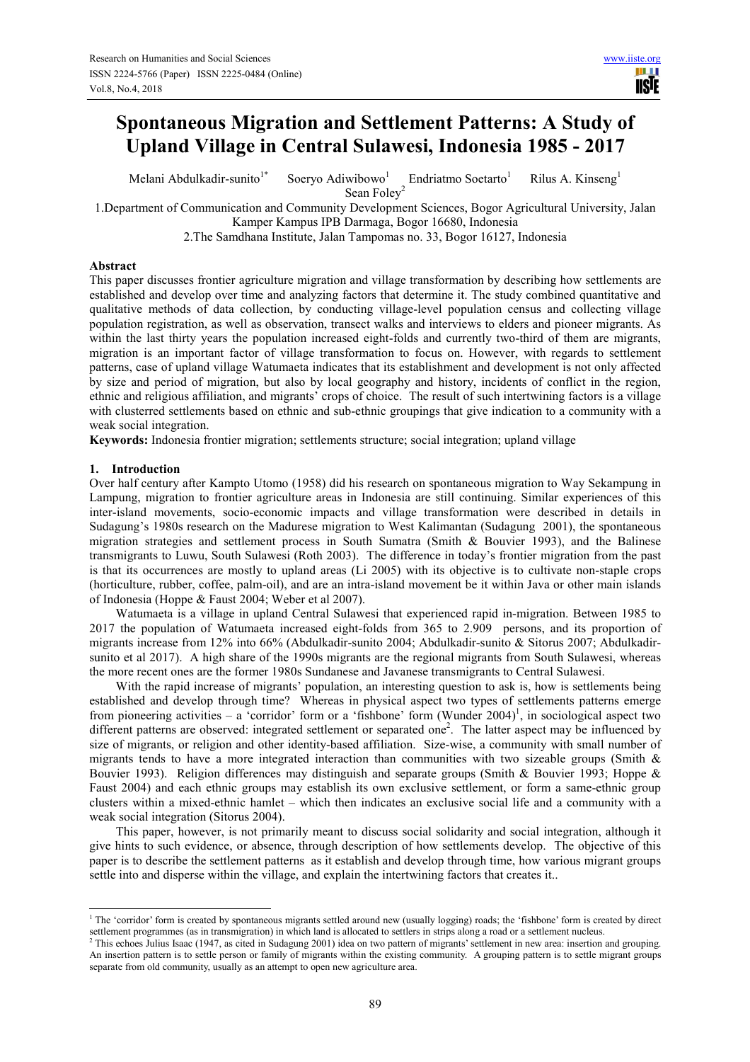# **Spontaneous Migration and Settlement Patterns: A Study of Upland Village in Central Sulawesi, Indonesia 1985 - 2017**

Melani Abdulkadir-sunito<sup>1\*</sup> Soeryo Adiwibowo<sup>1</sup> Endriatmo Soetarto<sup>1</sup> Rilus A. Kinseng<sup>1</sup>

Sean Foley<sup>2</sup>

1.Department of Communication and Community Development Sciences, Bogor Agricultural University, Jalan Kamper Kampus IPB Darmaga, Bogor 16680, Indonesia

2.The Samdhana Institute, Jalan Tampomas no. 33, Bogor 16127, Indonesia

# **Abstract**

This paper discusses frontier agriculture migration and village transformation by describing how settlements are established and develop over time and analyzing factors that determine it. The study combined quantitative and qualitative methods of data collection, by conducting village-level population census and collecting village population registration, as well as observation, transect walks and interviews to elders and pioneer migrants. As within the last thirty years the population increased eight-folds and currently two-third of them are migrants, migration is an important factor of village transformation to focus on. However, with regards to settlement patterns, case of upland village Watumaeta indicates that its establishment and development is not only affected by size and period of migration, but also by local geography and history, incidents of conflict in the region, ethnic and religious affiliation, and migrants' crops of choice. The result of such intertwining factors is a village with clusterred settlements based on ethnic and sub-ethnic groupings that give indication to a community with a weak social integration.

**Keywords:** Indonesia frontier migration; settlements structure; social integration; upland village

# **1. Introduction**

 $\overline{a}$ 

Over half century after Kampto Utomo (1958) did his research on spontaneous migration to Way Sekampung in Lampung, migration to frontier agriculture areas in Indonesia are still continuing. Similar experiences of this inter-island movements, socio-economic impacts and village transformation were described in details in Sudagung's 1980s research on the Madurese migration to West Kalimantan (Sudagung 2001), the spontaneous migration strategies and settlement process in South Sumatra (Smith & Bouvier 1993), and the Balinese transmigrants to Luwu, South Sulawesi (Roth 2003). The difference in today's frontier migration from the past is that its occurrences are mostly to upland areas (Li 2005) with its objective is to cultivate non-staple crops (horticulture, rubber, coffee, palm-oil), and are an intra-island movement be it within Java or other main islands of Indonesia (Hoppe & Faust 2004; Weber et al 2007).

Watumaeta is a village in upland Central Sulawesi that experienced rapid in-migration. Between 1985 to 2017 the population of Watumaeta increased eight-folds from 365 to 2.909 persons, and its proportion of migrants increase from 12% into 66% (Abdulkadir-sunito 2004; Abdulkadir-sunito & Sitorus 2007; Abdulkadirsunito et al 2017). A high share of the 1990s migrants are the regional migrants from South Sulawesi, whereas the more recent ones are the former 1980s Sundanese and Javanese transmigrants to Central Sulawesi.

With the rapid increase of migrants' population, an interesting question to ask is, how is settlements being established and develop through time? Whereas in physical aspect two types of settlements patterns emerge from pioneering activities – a 'corridor' form or a 'fishbone' form (Wunder 2004)<sup>1</sup>, in sociological aspect two different patterns are observed: integrated settlement or separated one<sup>2</sup>. The latter aspect may be influenced by size of migrants, or religion and other identity-based affiliation. Size-wise, a community with small number of migrants tends to have a more integrated interaction than communities with two sizeable groups (Smith & Bouvier 1993). Religion differences may distinguish and separate groups (Smith & Bouvier 1993; Hoppe & Faust 2004) and each ethnic groups may establish its own exclusive settlement, or form a same-ethnic group clusters within a mixed-ethnic hamlet – which then indicates an exclusive social life and a community with a weak social integration (Sitorus 2004).

This paper, however, is not primarily meant to discuss social solidarity and social integration, although it give hints to such evidence, or absence, through description of how settlements develop. The objective of this paper is to describe the settlement patterns as it establish and develop through time, how various migrant groups settle into and disperse within the village, and explain the intertwining factors that creates it..

<sup>&</sup>lt;sup>1</sup> The 'corridor' form is created by spontaneous migrants settled around new (usually logging) roads; the 'fishbone' form is created by direct settlement programmes (as in transmigration) in which land is allocated to settlers in strips along a road or a settlement nucleus.

<sup>&</sup>lt;sup>2</sup> This echoes Julius Isaac (1947, as cited in Sudagung 2001) idea on two pattern of migrants' settlement in new area: insertion and grouping. An insertion pattern is to settle person or family of migrants within the existing community. A grouping pattern is to settle migrant groups separate from old community, usually as an attempt to open new agriculture area.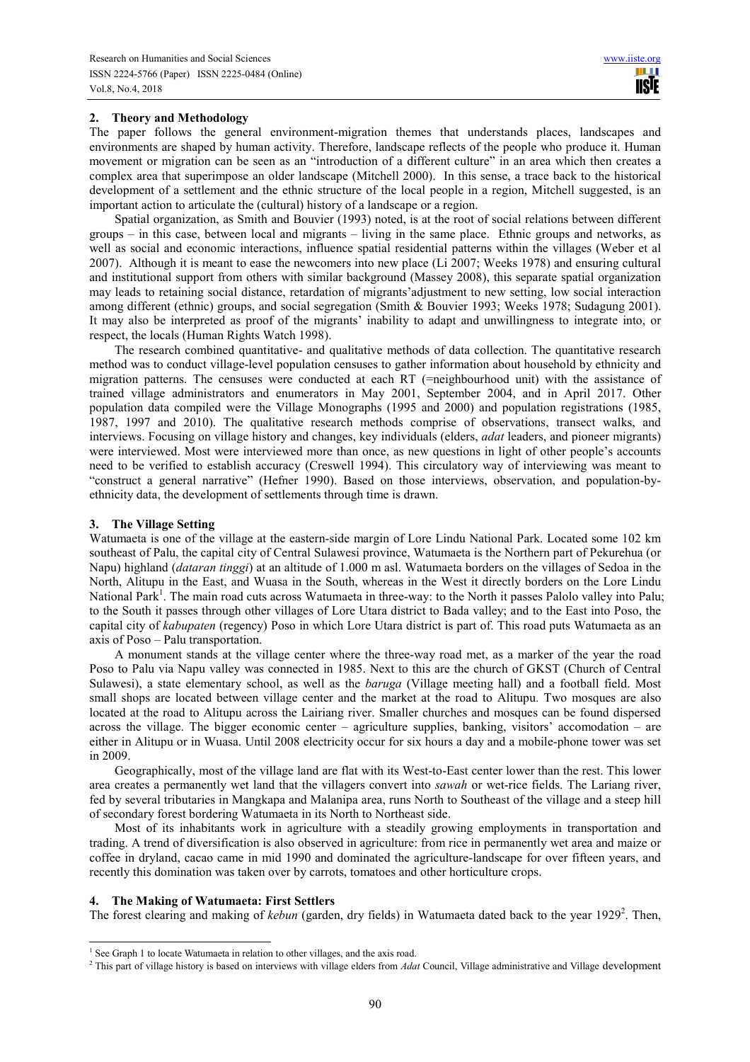## **2. Theory and Methodology**

The paper follows the general environment-migration themes that understands places, landscapes and environments are shaped by human activity. Therefore, landscape reflects of the people who produce it. Human movement or migration can be seen as an "introduction of a different culture" in an area which then creates a complex area that superimpose an older landscape (Mitchell 2000). In this sense, a trace back to the historical development of a settlement and the ethnic structure of the local people in a region, Mitchell suggested, is an important action to articulate the (cultural) history of a landscape or a region.

Spatial organization, as Smith and Bouvier (1993) noted, is at the root of social relations between different groups – in this case, between local and migrants – living in the same place. Ethnic groups and networks, as well as social and economic interactions, influence spatial residential patterns within the villages (Weber et al 2007). Although it is meant to ease the newcomers into new place (Li 2007; Weeks 1978) and ensuring cultural and institutional support from others with similar background (Massey 2008), this separate spatial organization may leads to retaining social distance, retardation of migrants'adjustment to new setting, low social interaction among different (ethnic) groups, and social segregation (Smith & Bouvier 1993; Weeks 1978; Sudagung 2001). It may also be interpreted as proof of the migrants' inability to adapt and unwillingness to integrate into, or respect, the locals (Human Rights Watch 1998).

The research combined quantitative- and qualitative methods of data collection. The quantitative research method was to conduct village-level population censuses to gather information about household by ethnicity and migration patterns. The censuses were conducted at each RT (=neighbourhood unit) with the assistance of trained village administrators and enumerators in May 2001, September 2004, and in April 2017. Other population data compiled were the Village Monographs (1995 and 2000) and population registrations (1985, 1987, 1997 and 2010). The qualitative research methods comprise of observations, transect walks, and interviews. Focusing on village history and changes, key individuals (elders, *adat* leaders, and pioneer migrants) were interviewed. Most were interviewed more than once, as new questions in light of other people's accounts need to be verified to establish accuracy (Creswell 1994). This circulatory way of interviewing was meant to "construct a general narrative" (Hefner 1990). Based on those interviews, observation, and population-byethnicity data, the development of settlements through time is drawn.

#### **3. The Village Setting**

Watumaeta is one of the village at the eastern-side margin of Lore Lindu National Park. Located some 102 km southeast of Palu, the capital city of Central Sulawesi province, Watumaeta is the Northern part of Pekurehua (or Napu) highland (*dataran tinggi*) at an altitude of 1.000 m asl. Watumaeta borders on the villages of Sedoa in the North, Alitupu in the East, and Wuasa in the South, whereas in the West it directly borders on the Lore Lindu National Park<sup>1</sup>. The main road cuts across Watumaeta in three-way: to the North it passes Palolo valley into Palu: to the South it passes through other villages of Lore Utara district to Bada valley; and to the East into Poso, the capital city of *kabupaten* (regency) Poso in which Lore Utara district is part of. This road puts Watumaeta as an axis of Poso – Palu transportation.

A monument stands at the village center where the three-way road met, as a marker of the year the road Poso to Palu via Napu valley was connected in 1985. Next to this are the church of GKST (Church of Central Sulawesi), a state elementary school, as well as the *baruga* (Village meeting hall) and a football field. Most small shops are located between village center and the market at the road to Alitupu. Two mosques are also located at the road to Alitupu across the Lairiang river. Smaller churches and mosques can be found dispersed across the village. The bigger economic center – agriculture supplies, banking, visitors' accomodation – are either in Alitupu or in Wuasa. Until 2008 electricity occur for six hours a day and a mobile-phone tower was set in 2009.

Geographically, most of the village land are flat with its West-to-East center lower than the rest. This lower area creates a permanently wet land that the villagers convert into *sawah* or wet-rice fields. The Lariang river, fed by several tributaries in Mangkapa and Malanipa area, runs North to Southeast of the village and a steep hill of secondary forest bordering Watumaeta in its North to Northeast side.

Most of its inhabitants work in agriculture with a steadily growing employments in transportation and trading. A trend of diversification is also observed in agriculture: from rice in permanently wet area and maize or coffee in dryland, cacao came in mid 1990 and dominated the agriculture-landscape for over fifteen years, and recently this domination was taken over by carrots, tomatoes and other horticulture crops.

#### **4. The Making of Watumaeta: First Settlers**

 $\overline{a}$ 

The forest clearing and making of *kebun* (garden, dry fields) in Watumaeta dated back to the year 1929<sup>2</sup>. Then,

<sup>&</sup>lt;sup>1</sup> See Graph 1 to locate Watumaeta in relation to other villages, and the axis road.

<sup>2</sup> This part of village history is based on interviews with village elders from *Adat* Council, Village administrative and Village development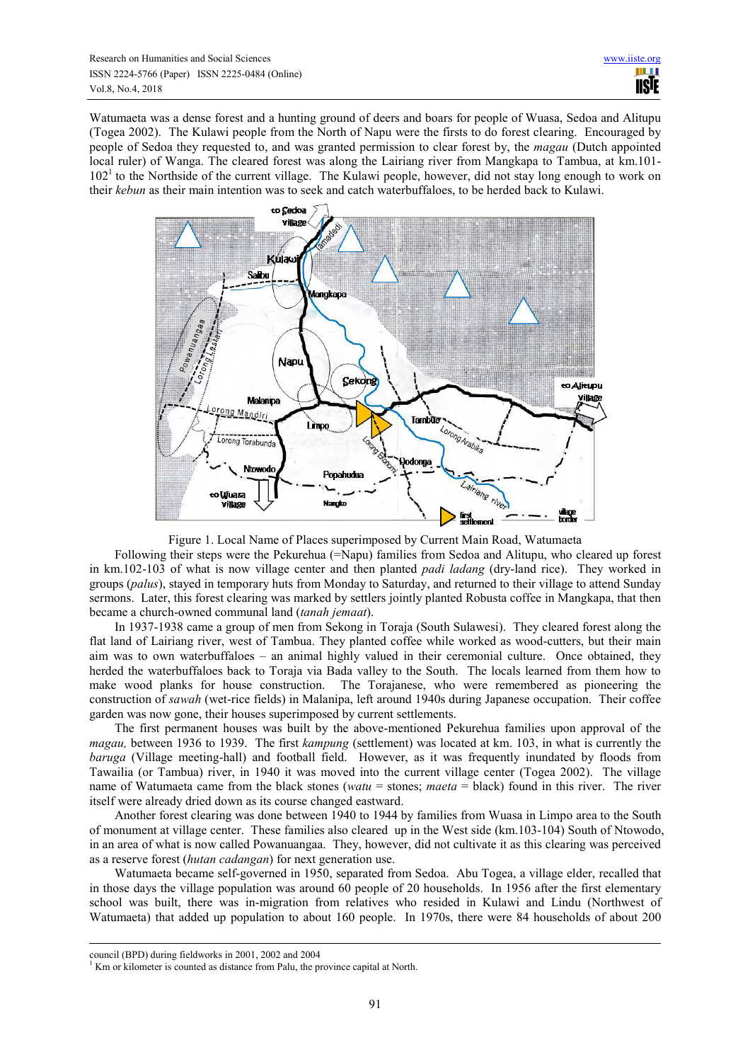Watumaeta was a dense forest and a hunting ground of deers and boars for people of Wuasa, Sedoa and Alitupu (Togea 2002). The Kulawi people from the North of Napu were the firsts to do forest clearing. Encouraged by people of Sedoa they requested to, and was granted permission to clear forest by, the *magau* (Dutch appointed local ruler) of Wanga. The cleared forest was along the Lairiang river from Mangkapa to Tambua, at km.101-  $102<sup>1</sup>$  to the Northside of the current village. The Kulawi people, however, did not stay long enough to work on their *kebun* as their main intention was to seek and catch waterbuffaloes, to be herded back to Kulawi.



Figure 1. Local Name of Places superimposed by Current Main Road, Watumaeta

Following their steps were the Pekurehua (=Napu) families from Sedoa and Alitupu, who cleared up forest in km.102-103 of what is now village center and then planted *padi ladang* (dry-land rice). They worked in groups (*palus*), stayed in temporary huts from Monday to Saturday, and returned to their village to attend Sunday sermons. Later, this forest clearing was marked by settlers jointly planted Robusta coffee in Mangkapa, that then became a church-owned communal land (*tanah jemaat*).

In 1937-1938 came a group of men from Sekong in Toraja (South Sulawesi). They cleared forest along the flat land of Lairiang river, west of Tambua. They planted coffee while worked as wood-cutters, but their main aim was to own waterbuffaloes – an animal highly valued in their ceremonial culture. Once obtained, they herded the waterbuffaloes back to Toraja via Bada valley to the South. The locals learned from them how to make wood planks for house construction. The Torajanese, who were remembered as pioneering the construction of *sawah* (wet-rice fields) in Malanipa, left around 1940s during Japanese occupation. Their coffee garden was now gone, their houses superimposed by current settlements.

The first permanent houses was built by the above-mentioned Pekurehua families upon approval of the *magau,* between 1936 to 1939. The first *kampung* (settlement) was located at km. 103, in what is currently the *baruga* (Village meeting-hall) and football field. However, as it was frequently inundated by floods from Tawailia (or Tambua) river, in 1940 it was moved into the current village center (Togea 2002). The village name of Watumaeta came from the black stones (*watu* = stones; *maeta* = black) found in this river. The river itself were already dried down as its course changed eastward.

Another forest clearing was done between 1940 to 1944 by families from Wuasa in Limpo area to the South of monument at village center. These families also cleared up in the West side (km.103-104) South of Ntowodo, in an area of what is now called Powanuangaa. They, however, did not cultivate it as this clearing was perceived as a reserve forest (*hutan cadangan*) for next generation use.

Watumaeta became self-governed in 1950, separated from Sedoa. Abu Togea, a village elder, recalled that in those days the village population was around 60 people of 20 households. In 1956 after the first elementary school was built, there was in-migration from relatives who resided in Kulawi and Lindu (Northwest of Watumaeta) that added up population to about 160 people. In 1970s, there were 84 households of about 200

֦

council (BPD) during fieldworks in 2001, 2002 and 2004

 $<sup>1</sup>$  Km or kilometer is counted as distance from Palu, the province capital at North.</sup>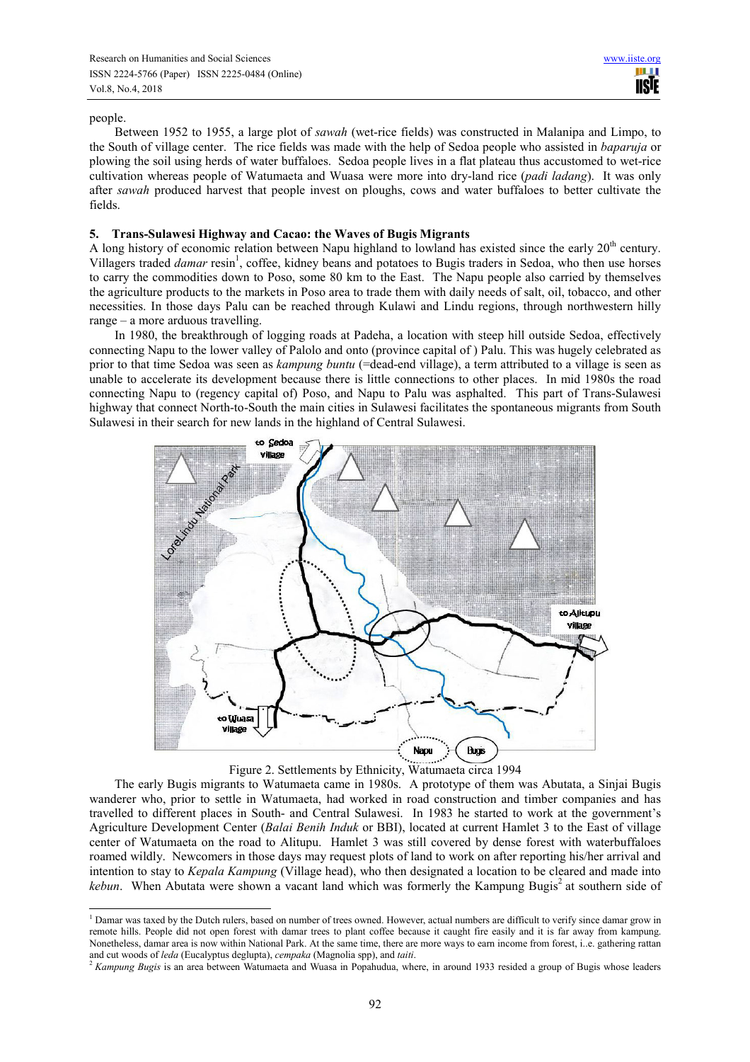#### people.

 $\overline{a}$ 

Between 1952 to 1955, a large plot of *sawah* (wet-rice fields) was constructed in Malanipa and Limpo, to the South of village center. The rice fields was made with the help of Sedoa people who assisted in *baparuja* or plowing the soil using herds of water buffaloes. Sedoa people lives in a flat plateau thus accustomed to wet-rice cultivation whereas people of Watumaeta and Wuasa were more into dry-land rice (*padi ladang*). It was only after *sawah* produced harvest that people invest on ploughs, cows and water buffaloes to better cultivate the fields.

## **5. Trans-Sulawesi Highway and Cacao: the Waves of Bugis Migrants**

A long history of economic relation between Napu highland to lowland has existed since the early  $20<sup>th</sup>$  century. Villagers traded *damar* resin<sup>1</sup>, coffee, kidney beans and potatoes to Bugis traders in Sedoa, who then use horses to carry the commodities down to Poso, some 80 km to the East. The Napu people also carried by themselves the agriculture products to the markets in Poso area to trade them with daily needs of salt, oil, tobacco, and other necessities. In those days Palu can be reached through Kulawi and Lindu regions, through northwestern hilly range – a more arduous travelling.

In 1980, the breakthrough of logging roads at Padeha, a location with steep hill outside Sedoa, effectively connecting Napu to the lower valley of Palolo and onto (province capital of ) Palu. This was hugely celebrated as prior to that time Sedoa was seen as *kampung buntu* (=dead-end village), a term attributed to a village is seen as unable to accelerate its development because there is little connections to other places. In mid 1980s the road connecting Napu to (regency capital of) Poso, and Napu to Palu was asphalted. This part of Trans-Sulawesi highway that connect North-to-South the main cities in Sulawesi facilitates the spontaneous migrants from South Sulawesi in their search for new lands in the highland of Central Sulawesi.



# Figure 2. Settlements by Ethnicity, Watumaeta circa 1994

The early Bugis migrants to Watumaeta came in 1980s. A prototype of them was Abutata, a Sinjai Bugis wanderer who, prior to settle in Watumaeta, had worked in road construction and timber companies and has travelled to different places in South- and Central Sulawesi. In 1983 he started to work at the government's Agriculture Development Center (*Balai Benih Induk* or BBI), located at current Hamlet 3 to the East of village center of Watumaeta on the road to Alitupu. Hamlet 3 was still covered by dense forest with waterbuffaloes roamed wildly. Newcomers in those days may request plots of land to work on after reporting his/her arrival and intention to stay to *Kepala Kampung* (Village head), who then designated a location to be cleared and made into  $kebun$ . When Abutata were shown a vacant land which was formerly the Kampung Bugis<sup>2</sup> at southern side of

<sup>&</sup>lt;sup>1</sup> Damar was taxed by the Dutch rulers, based on number of trees owned. However, actual numbers are difficult to verify since damar grow in remote hills. People did not open forest with damar trees to plant coffee because it caught fire easily and it is far away from kampung. Nonetheless, damar area is now within National Park. At the same time, there are more ways to earn income from forest, i..e. gathering rattan and cut woods of *leda* (Eucalyptus deglupta), *cempaka* (Magnolia spp), and *taiti*.

<sup>2</sup> *Kampung Bugis* is an area between Watumaeta and Wuasa in Popahudua, where, in around 1933 resided a group of Bugis whose leaders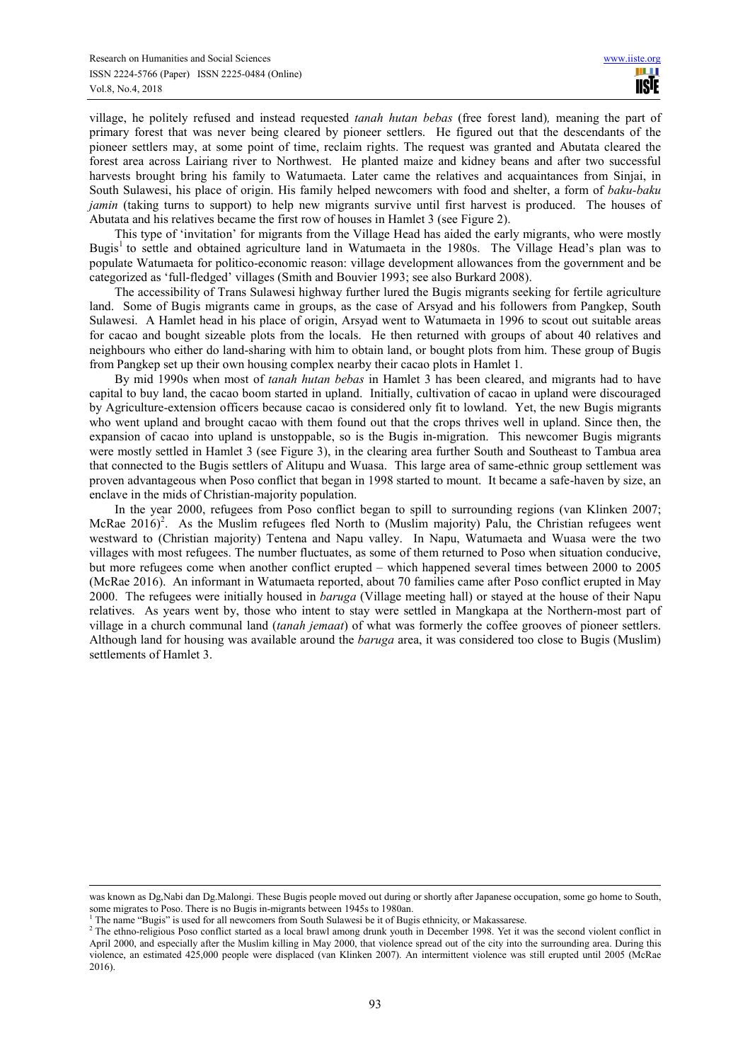village, he politely refused and instead requested *tanah hutan bebas* (free forest land)*,* meaning the part of primary forest that was never being cleared by pioneer settlers. He figured out that the descendants of the pioneer settlers may, at some point of time, reclaim rights. The request was granted and Abutata cleared the forest area across Lairiang river to Northwest. He planted maize and kidney beans and after two successful harvests brought bring his family to Watumaeta. Later came the relatives and acquaintances from Sinjai, in South Sulawesi, his place of origin. His family helped newcomers with food and shelter, a form of *baku-baku jamin* (taking turns to support) to help new migrants survive until first harvest is produced. The houses of Abutata and his relatives became the first row of houses in Hamlet 3 (see Figure 2).

This type of 'invitation' for migrants from the Village Head has aided the early migrants, who were mostly Bugis<sup>1</sup> to settle and obtained agriculture land in Watumaeta in the 1980s. The Village Head's plan was to populate Watumaeta for politico-economic reason: village development allowances from the government and be categorized as 'full-fledged' villages (Smith and Bouvier 1993; see also Burkard 2008).

The accessibility of Trans Sulawesi highway further lured the Bugis migrants seeking for fertile agriculture land. Some of Bugis migrants came in groups, as the case of Arsyad and his followers from Pangkep, South Sulawesi. A Hamlet head in his place of origin, Arsyad went to Watumaeta in 1996 to scout out suitable areas for cacao and bought sizeable plots from the locals. He then returned with groups of about 40 relatives and neighbours who either do land-sharing with him to obtain land, or bought plots from him. These group of Bugis from Pangkep set up their own housing complex nearby their cacao plots in Hamlet 1.

By mid 1990s when most of *tanah hutan bebas* in Hamlet 3 has been cleared, and migrants had to have capital to buy land, the cacao boom started in upland. Initially, cultivation of cacao in upland were discouraged by Agriculture-extension officers because cacao is considered only fit to lowland. Yet, the new Bugis migrants who went upland and brought cacao with them found out that the crops thrives well in upland. Since then, the expansion of cacao into upland is unstoppable, so is the Bugis in-migration. This newcomer Bugis migrants were mostly settled in Hamlet 3 (see Figure 3), in the clearing area further South and Southeast to Tambua area that connected to the Bugis settlers of Alitupu and Wuasa. This large area of same-ethnic group settlement was proven advantageous when Poso conflict that began in 1998 started to mount. It became a safe-haven by size, an enclave in the mids of Christian-majority population.

In the year 2000, refugees from Poso conflict began to spill to surrounding regions (van Klinken 2007; McRae 2016)<sup>2</sup>. As the Muslim refugees fled North to (Muslim majority) Palu, the Christian refugees went westward to (Christian majority) Tentena and Napu valley. In Napu, Watumaeta and Wuasa were the two villages with most refugees. The number fluctuates, as some of them returned to Poso when situation conducive, but more refugees come when another conflict erupted – which happened several times between 2000 to 2005 (McRae 2016). An informant in Watumaeta reported, about 70 families came after Poso conflict erupted in May 2000. The refugees were initially housed in *baruga* (Village meeting hall) or stayed at the house of their Napu relatives. As years went by, those who intent to stay were settled in Mangkapa at the Northern-most part of village in a church communal land (*tanah jemaat*) of what was formerly the coffee grooves of pioneer settlers. Although land for housing was available around the *baruga* area, it was considered too close to Bugis (Muslim) settlements of Hamlet 3.

֦

was known as Dg,Nabi dan Dg.Malongi. These Bugis people moved out during or shortly after Japanese occupation, some go home to South, some migrates to Poso. There is no Bugis in-migrants between 1945s to 1980an.

<sup>&</sup>lt;sup>1</sup> The name "Bugis" is used for all newcomers from South Sulawesi be it of Bugis ethnicity, or Makassarese.

<sup>&</sup>lt;sup>2</sup> The ethno-religious Poso conflict started as a local brawl among drunk youth in December 1998. Yet it was the second violent conflict in April 2000, and especially after the Muslim killing in May 2000, that violence spread out of the city into the surrounding area. During this violence, an estimated 425,000 people were displaced (van Klinken 2007). An intermittent violence was still erupted until 2005 (McRae 2016).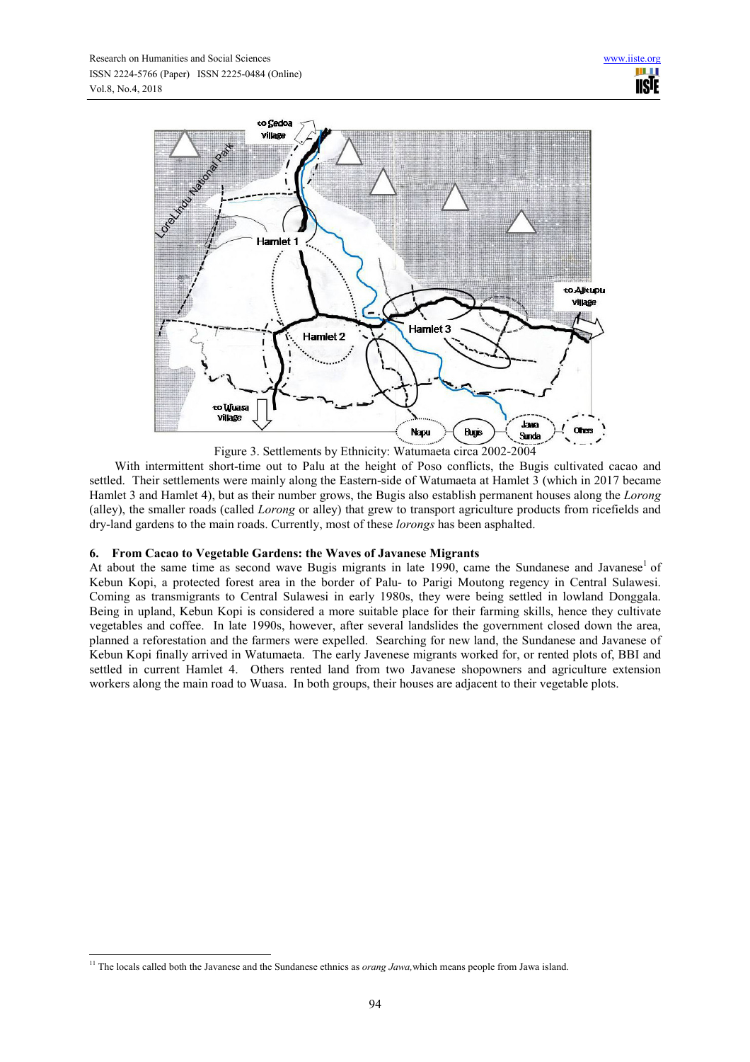

Figure 3. Settlements by Ethnicity: Watumaeta circa 2002-2004

With intermittent short-time out to Palu at the height of Poso conflicts, the Bugis cultivated cacao and settled. Their settlements were mainly along the Eastern-side of Watumaeta at Hamlet 3 (which in 2017 became Hamlet 3 and Hamlet 4), but as their number grows, the Bugis also establish permanent houses along the *Lorong* (alley), the smaller roads (called *Lorong* or alley) that grew to transport agriculture products from ricefields and dry-land gardens to the main roads. Currently, most of these *lorongs* has been asphalted.

# **6. From Cacao to Vegetable Gardens: the Waves of Javanese Migrants**

At about the same time as second wave Bugis migrants in late 1990, came the Sundanese and Javanese<sup>1</sup> of Kebun Kopi, a protected forest area in the border of Palu- to Parigi Moutong regency in Central Sulawesi. Coming as transmigrants to Central Sulawesi in early 1980s, they were being settled in lowland Donggala. Being in upland, Kebun Kopi is considered a more suitable place for their farming skills, hence they cultivate vegetables and coffee. In late 1990s, however, after several landslides the government closed down the area, planned a reforestation and the farmers were expelled. Searching for new land, the Sundanese and Javanese of Kebun Kopi finally arrived in Watumaeta. The early Javenese migrants worked for, or rented plots of, BBI and settled in current Hamlet 4. Others rented land from two Javanese shopowners and agriculture extension workers along the main road to Wuasa. In both groups, their houses are adjacent to their vegetable plots.

L

<sup>&</sup>lt;sup>11</sup> The locals called both the Javanese and the Sundanese ethnics as *orang Jawa*, which means people from Jawa island.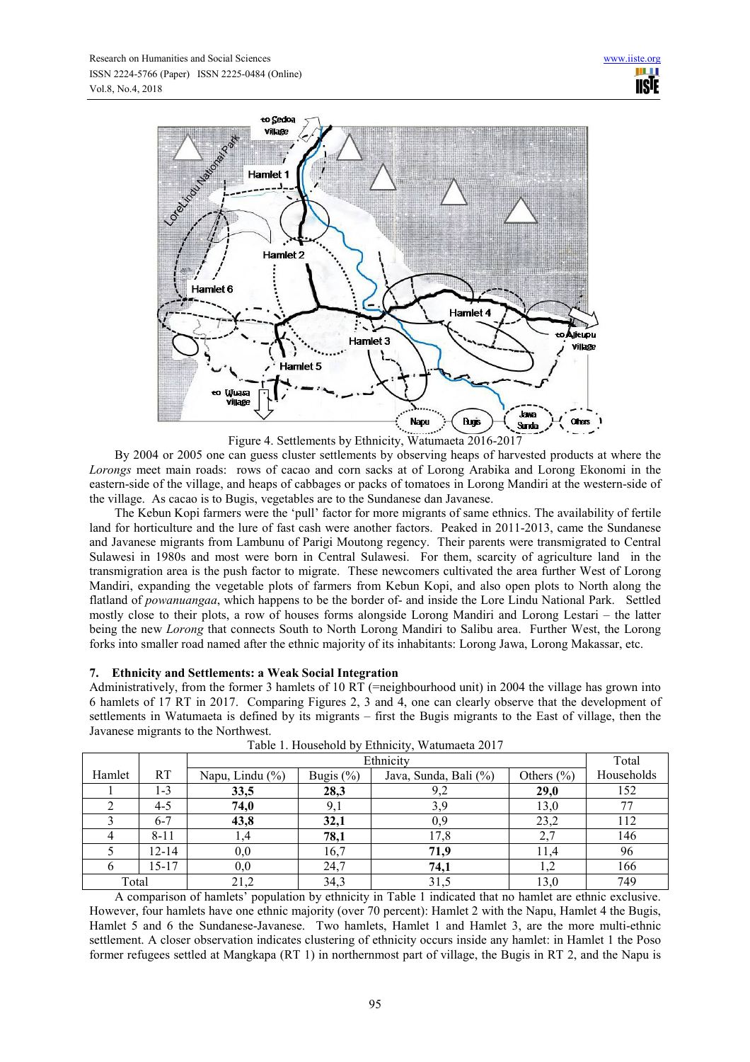

Figure 4. Settlements by Ethnicity, Watumaeta 2016-2017

By 2004 or 2005 one can guess cluster settlements by observing heaps of harvested products at where the *Lorongs* meet main roads: rows of cacao and corn sacks at of Lorong Arabika and Lorong Ekonomi in the eastern-side of the village, and heaps of cabbages or packs of tomatoes in Lorong Mandiri at the western-side of the village. As cacao is to Bugis, vegetables are to the Sundanese dan Javanese.

The Kebun Kopi farmers were the 'pull' factor for more migrants of same ethnics. The availability of fertile land for horticulture and the lure of fast cash were another factors. Peaked in 2011-2013, came the Sundanese and Javanese migrants from Lambunu of Parigi Moutong regency. Their parents were transmigrated to Central Sulawesi in 1980s and most were born in Central Sulawesi. For them, scarcity of agriculture land in the transmigration area is the push factor to migrate. These newcomers cultivated the area further West of Lorong Mandiri, expanding the vegetable plots of farmers from Kebun Kopi, and also open plots to North along the flatland of *powanuangaa*, which happens to be the border of- and inside the Lore Lindu National Park. Settled mostly close to their plots, a row of houses forms alongside Lorong Mandiri and Lorong Lestari – the latter being the new *Lorong* that connects South to North Lorong Mandiri to Salibu area. Further West, the Lorong forks into smaller road named after the ethnic majority of its inhabitants: Lorong Jawa, Lorong Makassar, etc.

# **7. Ethnicity and Settlements: a Weak Social Integration**

Administratively, from the former 3 hamlets of 10 RT (=neighbourhood unit) in 2004 the village has grown into 6 hamlets of 17 RT in 2017. Comparing Figures 2, 3 and 4, one can clearly observe that the development of settlements in Watumaeta is defined by its migrants – first the Bugis migrants to the East of village, then the Javanese migrants to the Northwest.

|        |           | Ethnicity       |              |                       |                | Total      |
|--------|-----------|-----------------|--------------|-----------------------|----------------|------------|
| Hamlet | <b>RT</b> | Napu, Lindu (%) | Bugis $(\%)$ | Java, Sunda, Bali (%) | Others $(\% )$ | Households |
|        | $1 - 3$   | 33,5            | 28,3         | 9,2                   | 29,0           | 152        |
|        | 4-5       | 74,0            | 9,1          | 3.9                   | 13,0           | 77         |
|        | $6 - 7$   | 43,8            | 32,1         | 0.9                   | 23,2           | 112        |
|        | $8 - 11$  | 1,4             | 78,1         | 17,8                  | 2,7            | 146        |
|        | 12-14     | 0,0             | 16,7         | 71.9                  |                | 96         |
|        | 15-17     | 0,0             | 24,7         | 74,1                  |                | 166        |
| Total  |           | 21,2            | 34,3         | 31,5                  | 13,0           | 749        |

Table 1. Household by Ethnicity, Watumaeta 2017

A comparison of hamlets' population by ethnicity in Table 1 indicated that no hamlet are ethnic exclusive. However, four hamlets have one ethnic majority (over 70 percent): Hamlet 2 with the Napu, Hamlet 4 the Bugis, Hamlet 5 and 6 the Sundanese-Javanese. Two hamlets, Hamlet 1 and Hamlet 3, are the more multi-ethnic settlement. A closer observation indicates clustering of ethnicity occurs inside any hamlet: in Hamlet 1 the Poso former refugees settled at Mangkapa (RT 1) in northernmost part of village, the Bugis in RT 2, and the Napu is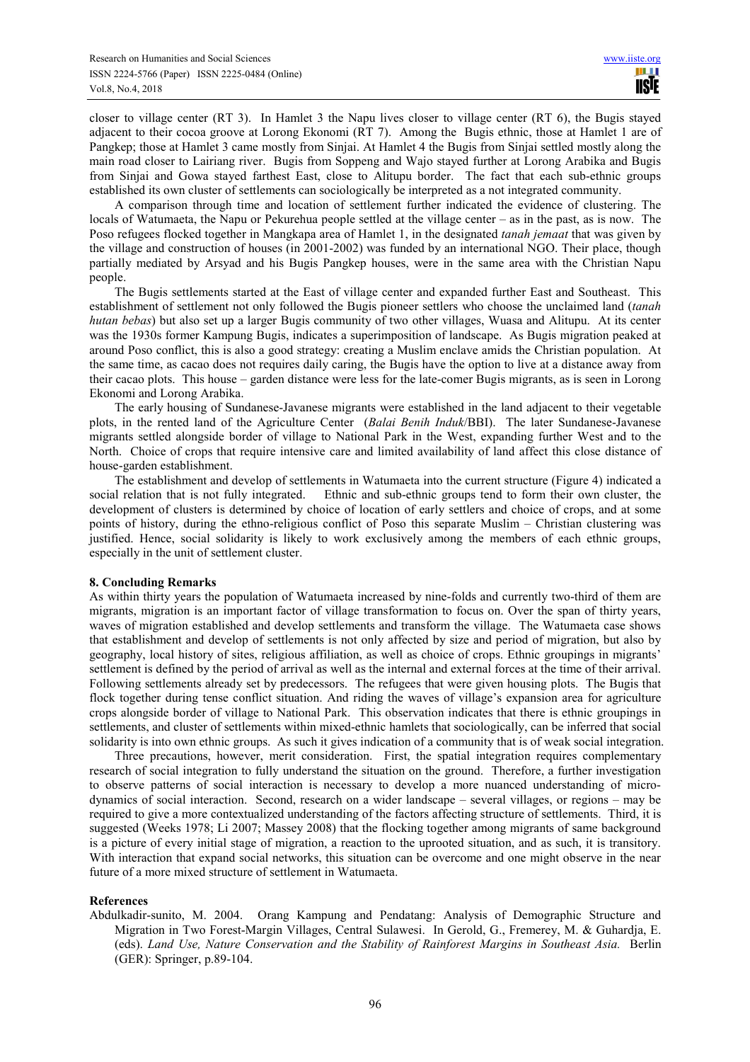closer to village center (RT 3). In Hamlet 3 the Napu lives closer to village center (RT 6), the Bugis stayed adjacent to their cocoa groove at Lorong Ekonomi (RT 7). Among the Bugis ethnic, those at Hamlet 1 are of Pangkep; those at Hamlet 3 came mostly from Sinjai. At Hamlet 4 the Bugis from Sinjai settled mostly along the main road closer to Lairiang river. Bugis from Soppeng and Wajo stayed further at Lorong Arabika and Bugis from Sinjai and Gowa stayed farthest East, close to Alitupu border. The fact that each sub-ethnic groups established its own cluster of settlements can sociologically be interpreted as a not integrated community.

A comparison through time and location of settlement further indicated the evidence of clustering. The locals of Watumaeta, the Napu or Pekurehua people settled at the village center – as in the past, as is now. The Poso refugees flocked together in Mangkapa area of Hamlet 1, in the designated *tanah jemaat* that was given by the village and construction of houses (in 2001-2002) was funded by an international NGO. Their place, though partially mediated by Arsyad and his Bugis Pangkep houses, were in the same area with the Christian Napu people.

The Bugis settlements started at the East of village center and expanded further East and Southeast. This establishment of settlement not only followed the Bugis pioneer settlers who choose the unclaimed land (*tanah hutan bebas*) but also set up a larger Bugis community of two other villages, Wuasa and Alitupu. At its center was the 1930s former Kampung Bugis, indicates a superimposition of landscape. As Bugis migration peaked at around Poso conflict, this is also a good strategy: creating a Muslim enclave amids the Christian population. At the same time, as cacao does not requires daily caring, the Bugis have the option to live at a distance away from their cacao plots. This house – garden distance were less for the late-comer Bugis migrants, as is seen in Lorong Ekonomi and Lorong Arabika.

The early housing of Sundanese-Javanese migrants were established in the land adjacent to their vegetable plots, in the rented land of the Agriculture Center (*Balai Benih Induk*/BBI). The later Sundanese-Javanese migrants settled alongside border of village to National Park in the West, expanding further West and to the North. Choice of crops that require intensive care and limited availability of land affect this close distance of house-garden establishment.

The establishment and develop of settlements in Watumaeta into the current structure (Figure 4) indicated a social relation that is not fully integrated. Ethnic and sub-ethnic groups tend to form their own cluster, the development of clusters is determined by choice of location of early settlers and choice of crops, and at some points of history, during the ethno-religious conflict of Poso this separate Muslim – Christian clustering was justified. Hence, social solidarity is likely to work exclusively among the members of each ethnic groups, especially in the unit of settlement cluster.

#### **8. Concluding Remarks**

As within thirty years the population of Watumaeta increased by nine-folds and currently two-third of them are migrants, migration is an important factor of village transformation to focus on. Over the span of thirty years, waves of migration established and develop settlements and transform the village. The Watumaeta case shows that establishment and develop of settlements is not only affected by size and period of migration, but also by geography, local history of sites, religious affiliation, as well as choice of crops. Ethnic groupings in migrants' settlement is defined by the period of arrival as well as the internal and external forces at the time of their arrival. Following settlements already set by predecessors. The refugees that were given housing plots. The Bugis that flock together during tense conflict situation. And riding the waves of village's expansion area for agriculture crops alongside border of village to National Park. This observation indicates that there is ethnic groupings in settlements, and cluster of settlements within mixed-ethnic hamlets that sociologically, can be inferred that social solidarity is into own ethnic groups. As such it gives indication of a community that is of weak social integration.

Three precautions, however, merit consideration. First, the spatial integration requires complementary research of social integration to fully understand the situation on the ground. Therefore, a further investigation to observe patterns of social interaction is necessary to develop a more nuanced understanding of microdynamics of social interaction. Second, research on a wider landscape – several villages, or regions – may be required to give a more contextualized understanding of the factors affecting structure of settlements. Third, it is suggested (Weeks 1978; Li 2007; Massey 2008) that the flocking together among migrants of same background is a picture of every initial stage of migration, a reaction to the uprooted situation, and as such, it is transitory. With interaction that expand social networks, this situation can be overcome and one might observe in the near future of a more mixed structure of settlement in Watumaeta.

#### **References**

Abdulkadir-sunito, M. 2004. Orang Kampung and Pendatang: Analysis of Demographic Structure and Migration in Two Forest-Margin Villages, Central Sulawesi. In Gerold, G., Fremerey, M. & Guhardja, E. (eds). *Land Use, Nature Conservation and the Stability of Rainforest Margins in Southeast Asia.* Berlin (GER): Springer, p.89-104.